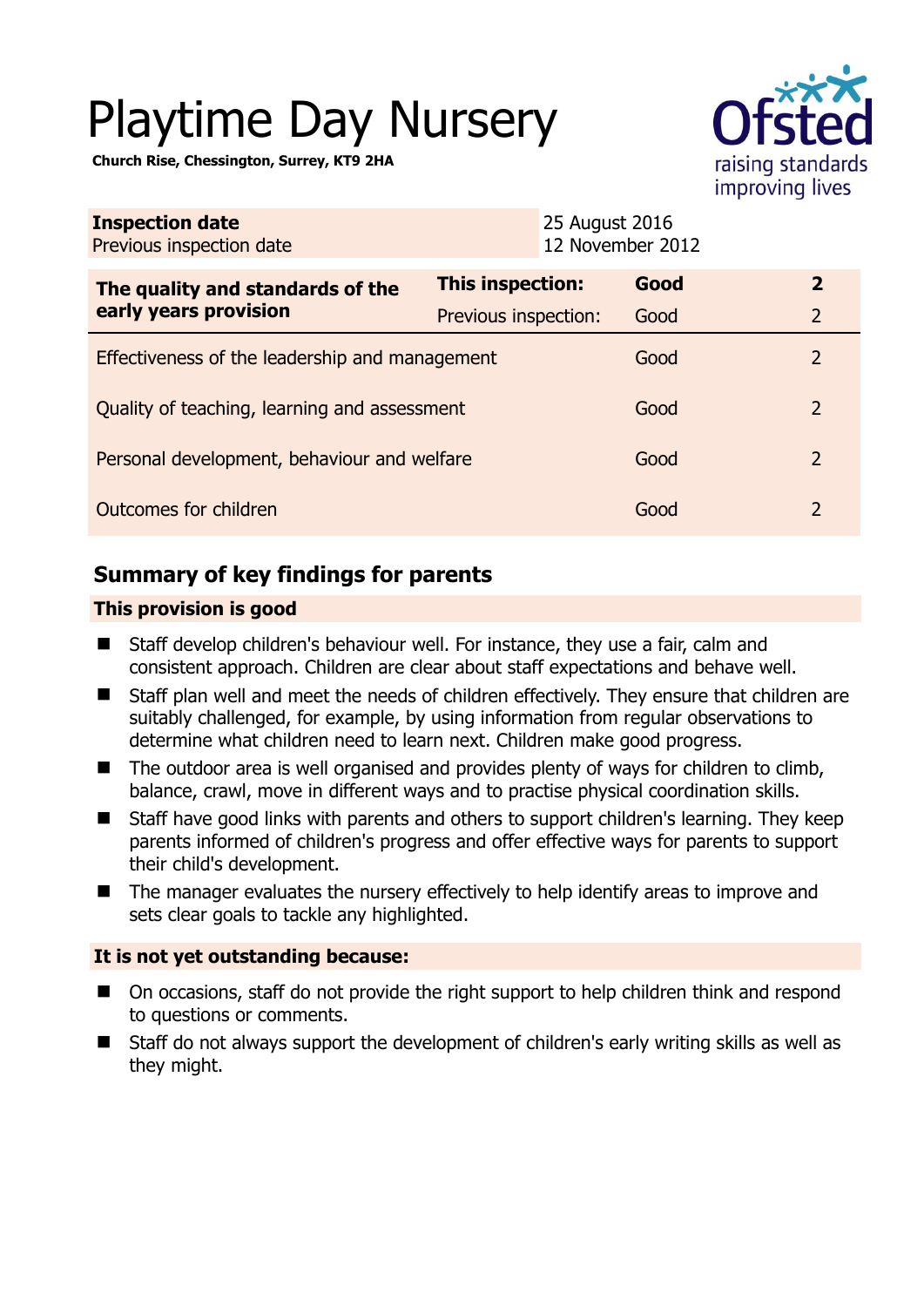# Playtime Day Nursery

**Church Rise, Chessington, Surrey, KT9 2HA** 



| <b>Inspection date</b><br>Previous inspection date        |                      | 25 August 2016<br>12 November 2012 |      |                |
|-----------------------------------------------------------|----------------------|------------------------------------|------|----------------|
| The quality and standards of the<br>early years provision | This inspection:     | Good                               |      | $\overline{2}$ |
|                                                           | Previous inspection: | Good                               |      | $\overline{2}$ |
| Effectiveness of the leadership and management            |                      | Good                               |      | 2              |
| Quality of teaching, learning and assessment              |                      |                                    | Good | 2              |
| Personal development, behaviour and welfare               |                      | Good                               |      | 2              |
| Outcomes for children                                     |                      | Good                               |      | 2              |

## **Summary of key findings for parents**

## **This provision is good**

- Staff develop children's behaviour well. For instance, they use a fair, calm and consistent approach. Children are clear about staff expectations and behave well.
- Staff plan well and meet the needs of children effectively. They ensure that children are suitably challenged, for example, by using information from regular observations to determine what children need to learn next. Children make good progress.
- The outdoor area is well organised and provides plenty of ways for children to climb, balance, crawl, move in different ways and to practise physical coordination skills.
- Staff have good links with parents and others to support children's learning. They keep parents informed of children's progress and offer effective ways for parents to support their child's development.
- The manager evaluates the nursery effectively to help identify areas to improve and sets clear goals to tackle any highlighted.

## **It is not yet outstanding because:**

- On occasions, staff do not provide the right support to help children think and respond to questions or comments.
- Staff do not always support the development of children's early writing skills as well as they might.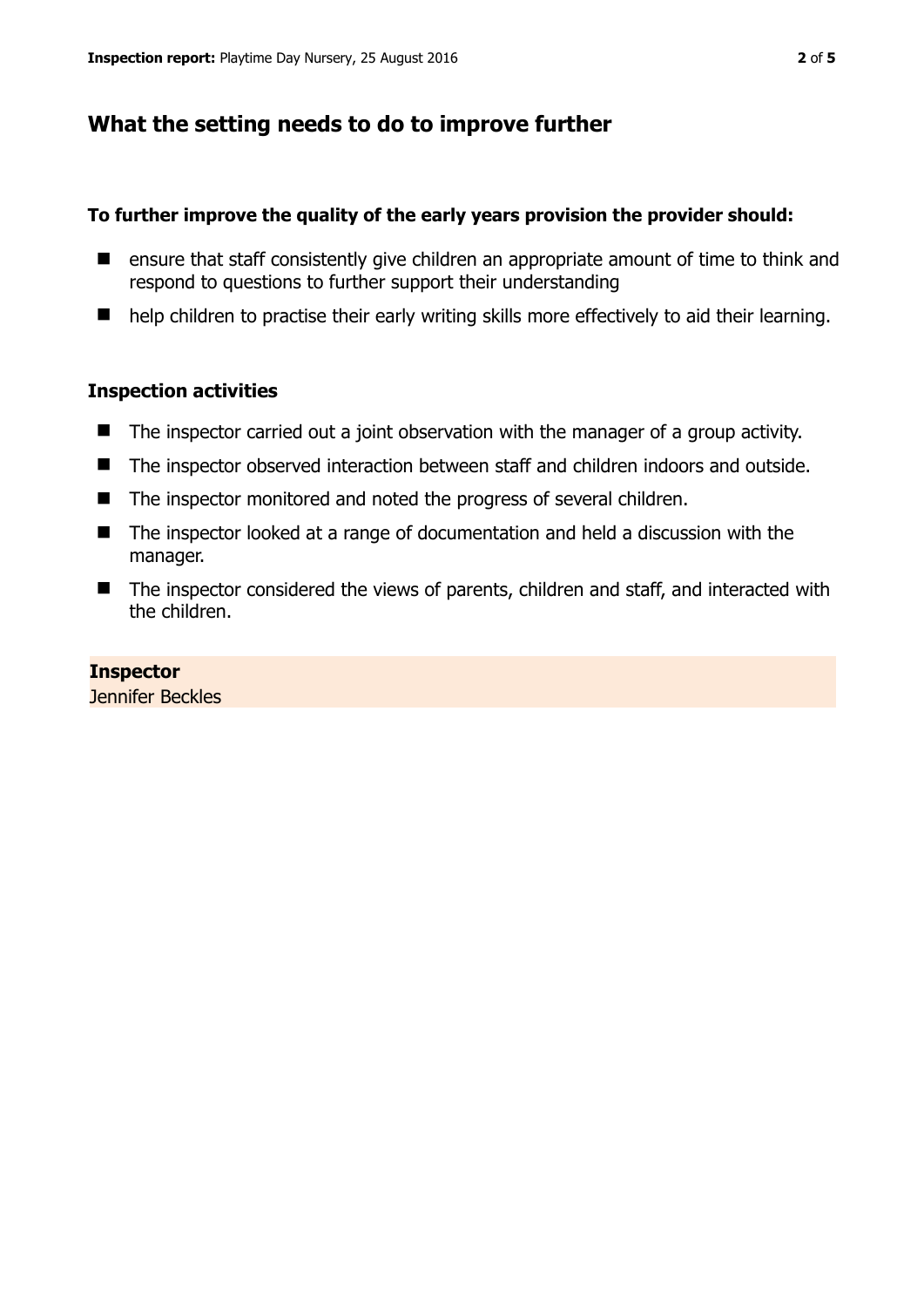## **What the setting needs to do to improve further**

## **To further improve the quality of the early years provision the provider should:**

- ensure that staff consistently give children an appropriate amount of time to think and respond to questions to further support their understanding
- help children to practise their early writing skills more effectively to aid their learning.

### **Inspection activities**

- The inspector carried out a joint observation with the manager of a group activity.
- The inspector observed interaction between staff and children indoors and outside.
- The inspector monitored and noted the progress of several children.
- The inspector looked at a range of documentation and held a discussion with the manager.
- The inspector considered the views of parents, children and staff, and interacted with the children.

**Inspector**  Jennifer Beckles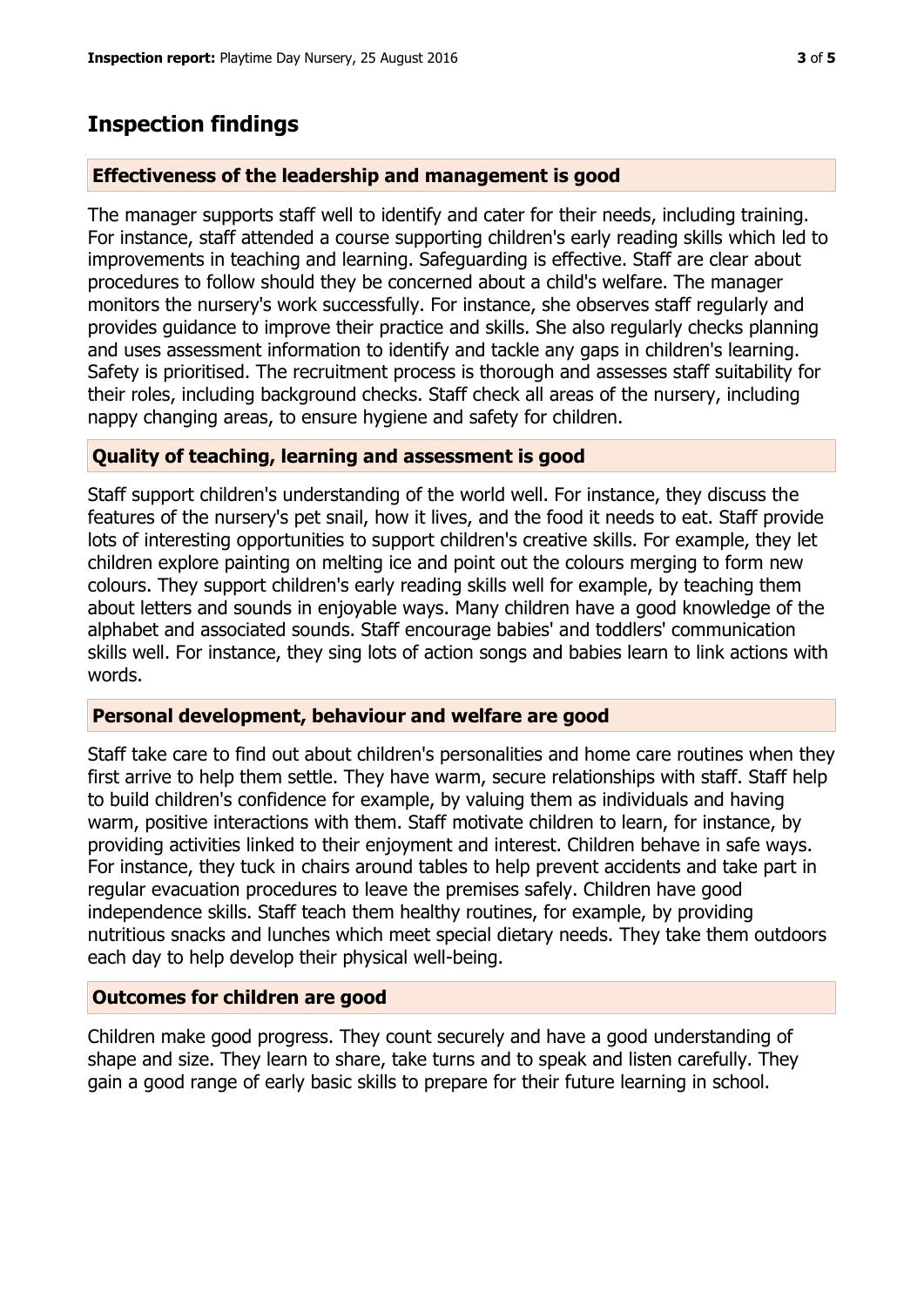## **Inspection findings**

#### **Effectiveness of the leadership and management is good**

The manager supports staff well to identify and cater for their needs, including training. For instance, staff attended a course supporting children's early reading skills which led to improvements in teaching and learning. Safeguarding is effective. Staff are clear about procedures to follow should they be concerned about a child's welfare. The manager monitors the nursery's work successfully. For instance, she observes staff regularly and provides guidance to improve their practice and skills. She also regularly checks planning and uses assessment information to identify and tackle any gaps in children's learning. Safety is prioritised. The recruitment process is thorough and assesses staff suitability for their roles, including background checks. Staff check all areas of the nursery, including nappy changing areas, to ensure hygiene and safety for children.

#### **Quality of teaching, learning and assessment is good**

Staff support children's understanding of the world well. For instance, they discuss the features of the nursery's pet snail, how it lives, and the food it needs to eat. Staff provide lots of interesting opportunities to support children's creative skills. For example, they let children explore painting on melting ice and point out the colours merging to form new colours. They support children's early reading skills well for example, by teaching them about letters and sounds in enjoyable ways. Many children have a good knowledge of the alphabet and associated sounds. Staff encourage babies' and toddlers' communication skills well. For instance, they sing lots of action songs and babies learn to link actions with words.

#### **Personal development, behaviour and welfare are good**

Staff take care to find out about children's personalities and home care routines when they first arrive to help them settle. They have warm, secure relationships with staff. Staff help to build children's confidence for example, by valuing them as individuals and having warm, positive interactions with them. Staff motivate children to learn, for instance, by providing activities linked to their enjoyment and interest. Children behave in safe ways. For instance, they tuck in chairs around tables to help prevent accidents and take part in regular evacuation procedures to leave the premises safely. Children have good independence skills. Staff teach them healthy routines, for example, by providing nutritious snacks and lunches which meet special dietary needs. They take them outdoors each day to help develop their physical well-being.

#### **Outcomes for children are good**

Children make good progress. They count securely and have a good understanding of shape and size. They learn to share, take turns and to speak and listen carefully. They gain a good range of early basic skills to prepare for their future learning in school.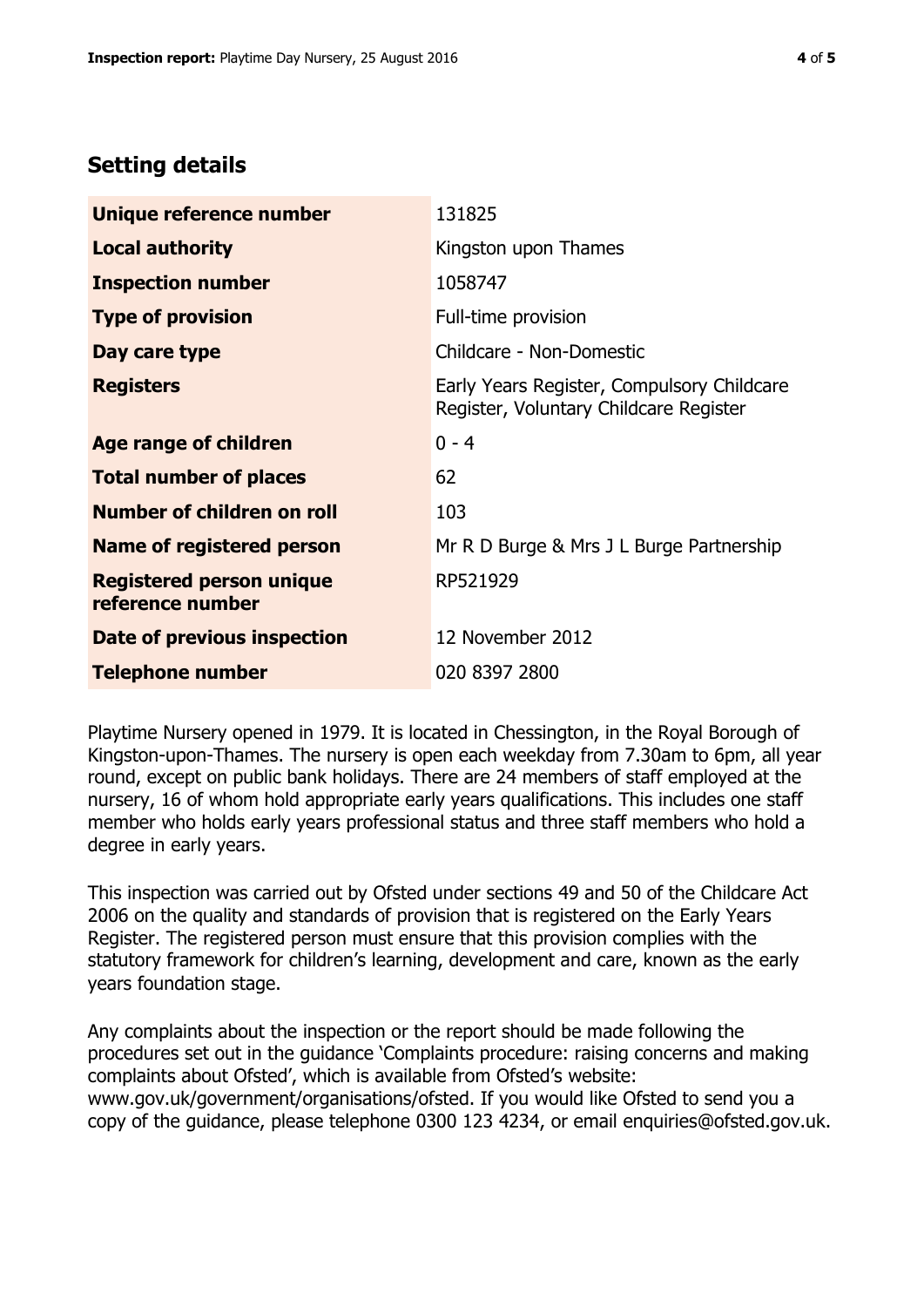## **Setting details**

| Unique reference number                             | 131825                                                                               |  |
|-----------------------------------------------------|--------------------------------------------------------------------------------------|--|
| <b>Local authority</b>                              | Kingston upon Thames                                                                 |  |
| <b>Inspection number</b>                            | 1058747                                                                              |  |
| <b>Type of provision</b>                            | Full-time provision                                                                  |  |
| Day care type                                       | Childcare - Non-Domestic                                                             |  |
| <b>Registers</b>                                    | Early Years Register, Compulsory Childcare<br>Register, Voluntary Childcare Register |  |
| Age range of children                               | $0 - 4$                                                                              |  |
| <b>Total number of places</b>                       | 62                                                                                   |  |
| <b>Number of children on roll</b>                   | 103                                                                                  |  |
| <b>Name of registered person</b>                    | Mr R D Burge & Mrs J L Burge Partnership                                             |  |
| <b>Registered person unique</b><br>reference number | RP521929                                                                             |  |
| <b>Date of previous inspection</b>                  | 12 November 2012                                                                     |  |
| <b>Telephone number</b>                             | 020 8397 2800                                                                        |  |

Playtime Nursery opened in 1979. It is located in Chessington, in the Royal Borough of Kingston-upon-Thames. The nursery is open each weekday from 7.30am to 6pm, all year round, except on public bank holidays. There are 24 members of staff employed at the nursery, 16 of whom hold appropriate early years qualifications. This includes one staff member who holds early years professional status and three staff members who hold a degree in early years.

This inspection was carried out by Ofsted under sections 49 and 50 of the Childcare Act 2006 on the quality and standards of provision that is registered on the Early Years Register. The registered person must ensure that this provision complies with the statutory framework for children's learning, development and care, known as the early years foundation stage.

Any complaints about the inspection or the report should be made following the procedures set out in the guidance 'Complaints procedure: raising concerns and making complaints about Ofsted', which is available from Ofsted's website: www.gov.uk/government/organisations/ofsted. If you would like Ofsted to send you a copy of the guidance, please telephone 0300 123 4234, or email enquiries@ofsted.gov.uk.